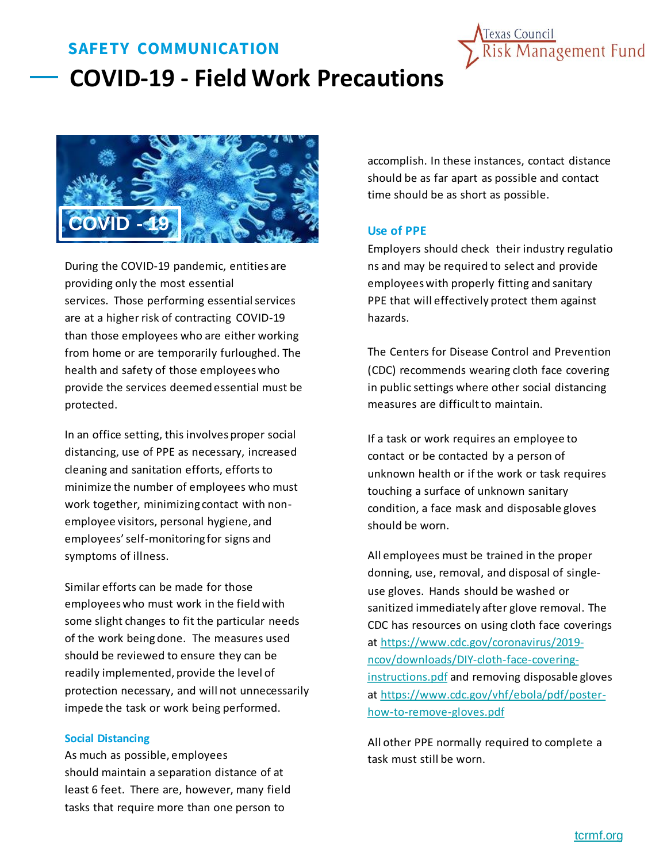# **SAFETY COMMUNICATION COVID-19 - Field Work Precautions**





During the COVID-19 pandemic, entities are providing only the most essential services. Those performing essential services are at a higher risk of contracting COVID-19 than those employees who are either working from home or are temporarily furloughed. The health and safety of those employees who provide the services deemed essential must be protected.

In an office setting, this involves proper social distancing, use of PPE as necessary, increased cleaning and sanitation efforts, efforts to minimize the number of employees who must work together, minimizing contact with nonemployee visitors, personal hygiene, and employees' self-monitoring for signs and symptoms of illness.

Similar efforts can be made for those employees who must work in the field with some slight changes to fit the particular needs of the work being done. The measures used should be reviewed to ensure they can be readily implemented, provide the level of protection necessary, and will not unnecessarily impede the task or work being performed.

#### **Social Distancing**

As much as possible, employees should maintain a separation distance of at least 6 feet. There are, however, many field tasks that require more than one person to

accomplish. In these instances, contact distance should be as far apart as possible and contact time should be as short as possible.

### **Use of PPE**

Employers should check their industry regulatio ns and may be required to select and provide employees with properly fitting and sanitary PPE that will effectively protect them against hazards.

The Centers for Disease Control and Prevention (CDC) recommends wearing cloth face covering in public settings where other social distancing measures are difficult to maintain.

If a task or work requires an employee to contact or be contacted by a person of unknown health or if the work or task requires touching a surface of unknown sanitary condition, a face mask and disposable gloves should be worn.

All employees must be trained in the proper donning, use, removal, and disposal of singleuse gloves. Hands should be washed or sanitized immediately after glove removal. The CDC has resources on using cloth face coverings at https://www.cdc.gov/coronavirus/2019 [ncov/downloads/DIY-cloth-face-covering](https://www.cdc.gov/coronavirus/2019-ncov/downloads/DIY-cloth-face-covering-instructions.pdf)instructions.pdf and removing disposable gloves [at https://www.cdc.gov/vhf/ebola/pdf/poster](https://www.cdc.gov/vhf/ebola/pdf/poster-how-to-remove-gloves.pdf)how-to-remove-gloves.pdf

All other PPE normally required to complete a task must still be worn.